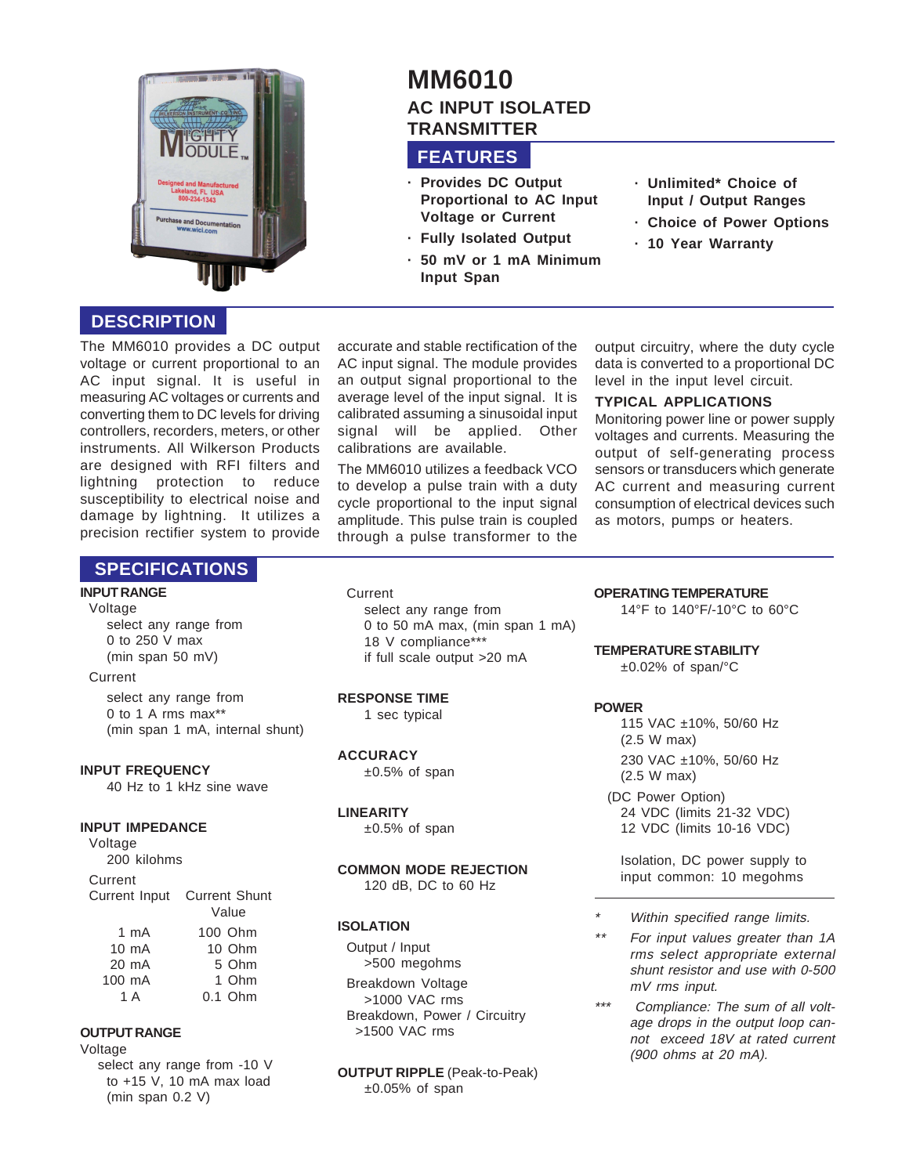

# **MM6010 AC INPUT ISOLATED TRANSMITTER**

## **FEATURES**

- **· Provides DC Output Proportional to AC Input Voltage or Current**
- **· Fully Isolated Output**
- **· 50 mV or 1 mA Minimum Input Span**
- **· Unlimited\* Choice of Input / Output Ranges**
- **· Choice of Power Options**
- **· 10 Year Warranty**

## **DESCRIPTION**

The MM6010 provides a DC output voltage or current proportional to an AC input signal. It is useful in measuring AC voltages or currents and converting them to DC levels for driving controllers, recorders, meters, or other instruments. All Wilkerson Products are designed with RFI filters and lightning protection to reduce susceptibility to electrical noise and damage by lightning. It utilizes a precision rectifier system to provide

accurate and stable rectification of the AC input signal. The module provides an output signal proportional to the average level of the input signal. It is calibrated assuming a sinusoidal input signal will be applied. Other calibrations are available.

The MM6010 utilizes a feedback VCO to develop a pulse train with a duty cycle proportional to the input signal amplitude. This pulse train is coupled through a pulse transformer to the output circuitry, where the duty cycle data is converted to a proportional DC level in the input level circuit.

#### **TYPICAL APPLICATIONS**

Monitoring power line or power supply voltages and currents. Measuring the output of self-generating process sensors or transducers which generate AC current and measuring current consumption of electrical devices such as motors, pumps or heaters.

## **SPECIFICATIONS**

## **INPUT RANGE**

Voltage select any range from 0 to 250 V max (min span 50 mV)

#### Current

select any range from 0 to 1 A rms max\*\* (min span 1 mA, internal shunt)

#### **INPUT FREQUENCY**

40 Hz to 1 kHz sine wave

#### **INPUT IMPEDANCE**

Voltage 200 kilohms Current Current Input Current Shunt Value 1 mA 100 Ohm 10 mA 10 Ohm 20 mA 5 Ohm 100 mA 1 Ohm 1 A 0.1 Ohm

#### **OUTPUT RANGE**

Voltage select any range from -10 V to +15 V, 10 mA max load (min span 0.2 V)

**Current** 

select any range from 0 to 50 mA max, (min span 1 mA) 18 V compliance\*\*\* if full scale output >20 mA

#### **RESPONSE TIME**

1 sec typical

#### **ACCURACY**

 $±0.5%$  of span

#### **LINEARITY**

 $±0.5%$  of span

#### **COMMON MODE REJECTION** 120 dB, DC to 60 Hz

#### **ISOLATION**

Output / Input >500 megohms Breakdown Voltage >1000 VAC rms Breakdown, Power / Circuitry >1500 VAC rms

**OUTPUT RIPPLE** (Peak-to-Peak)  $±0.05%$  of span

**OPERATING TEMPERATURE**

14°F to 140°F/-10°C to 60°C

**TEMPERATURE STABILITY**

 $\pm 0.02\%$  of span/°C

#### **POWER**

115 VAC ±10%, 50/60 Hz (2.5 W max) 230 VAC ±10%, 50/60 Hz (2.5 W max) (DC Power Option) 24 VDC (limits 21-32 VDC) 12 VDC (limits 10-16 VDC)

Isolation, DC power supply to input common: 10 megohms

- \*Within specified range limits.
- \*\* For input values greater than 1A rms select appropriate external shunt resistor and use with 0-500 mV rms input.
- \*\*\* Compliance: The sum of all voltage drops in the output loop cannot exceed 18V at rated current (900 ohms at 20 mA).